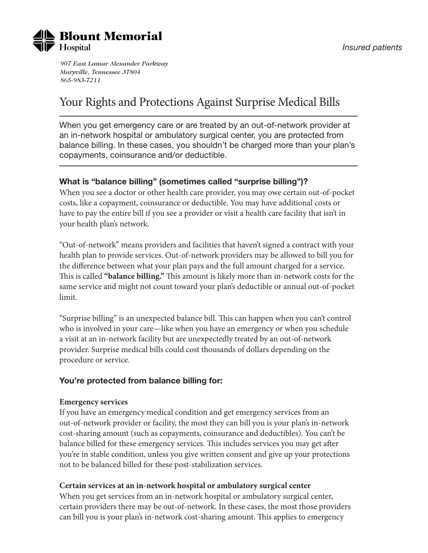

*907 East Lamar Alexander Parkway Maryville, Tennessee 37804 865-983-7211*

# Your Rights and Protections Against Surprise Medical Bills

When you get emergency care or are treated by an out-of-network provider at an in-network hospital or ambulatory surgical center, you are protected from balance billing. In these cases, you shouldn't be charged more than your plan's copayments, coinsurance and/or deductible.

## **What is "balance billing" (sometimes called "surprise billing")?**

When you see a doctor or other health care provider, you may owe certain out-of-pocket costs, like a copayment, coinsurance or deductible. You may have additional costs or have to pay the entire bill if you see a provider or visit a health care facility that isn't in your health plan's network.

"Out-of-network" means providers and facilities that haven't signed a contract with your health plan to provide services. Out-of-network providers may be allowed to bill you for the difference between what your plan pays and the full amount charged for a service. This is called **"balance billing."** This amount is likely more than in-network costs for the same service and might not count toward your plan's deductible or annual out-of-pocket limit.

"Surprise billing" is an unexpected balance bill. This can happen when you can't control who is involved in your care—like when you have an emergency or when you schedule a visit at an in-network facility but are unexpectedly treated by an out-of-network provider. Surprise medical bills could cost thousands of dollars depending on the procedure or service.

#### **You're protected from balance billing for:**

#### **Emergency services**

If you have an emergency medical condition and get emergency services from an out-of-network provider or facility, the most they can bill you is your plan's in-network cost-sharing amount (such as copayments, coinsurance and deductibles). You can't be balance billed for these emergency services. This includes services you may get after you're in stable condition, unless you give written consent and give up your protections not to be balanced billed for these post-stabilization services.

#### **Certain services at an in-network hospital or ambulatory surgical center**

When you get services from an in-network hospital or ambulatory surgical center, certain providers there may be out-of-network. In these cases, the most those providers can bill you is your plan's in-network cost-sharing amount. This applies to emergency